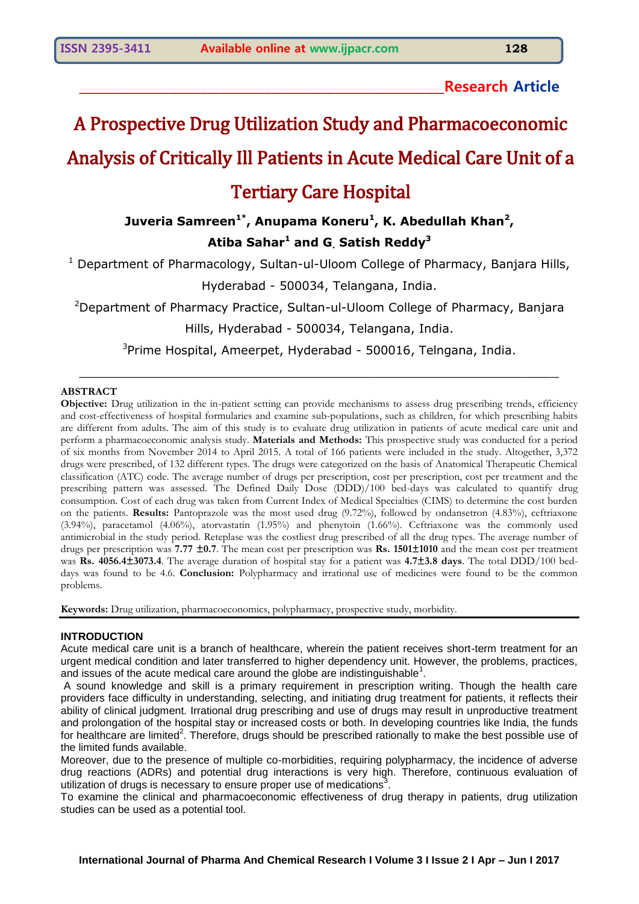### **\_\_\_\_\_\_\_\_\_\_\_\_\_\_\_\_\_\_\_\_\_\_\_\_\_\_\_\_\_\_\_\_\_\_\_\_\_\_\_\_\_\_\_\_\_\_\_\_\_\_\_\_\_\_\_\_\_Research Article**

# A Prospective Drug Utilization Study and Pharmacoeconomic Analysis of Critically Ill Patients in Acute Medical Care Unit of a

# Tertiary Care Hospital

## **Juveria Samreen1\* , Anupama Koneru<sup>1</sup> , K. Abedullah Khan<sup>2</sup> , Atiba Sahar<sup>1</sup> and G. Satish Reddy<sup>3</sup>**

<sup>1</sup> Department of Pharmacology, Sultan-ul-Uloom College of Pharmacy, Banjara Hills, Hyderabad - 500034, Telangana, India.

<sup>2</sup>Department of Pharmacy Practice, Sultan-ul-Uloom College of Pharmacy, Banjara

#### Hills, Hyderabad - 500034, Telangana, India.

<sup>3</sup>Prime Hospital, Ameerpet, Hyderabad - 500016, Telngana, India.

 $\_$  , and the set of the set of the set of the set of the set of the set of the set of the set of the set of the set of the set of the set of the set of the set of the set of the set of the set of the set of the set of th

#### **ABSTRACT**

**Objective:** Drug utilization in the in-patient setting can provide mechanisms to assess drug prescribing trends, efficiency and cost-effectiveness of hospital formularies and examine sub-populations, such as children, for which prescribing habits are different from adults. The aim of this study is to evaluate drug utilization in patients of acute medical care unit and perform a pharmacoeconomic analysis study. **Materials and Methods:** This prospective study was conducted for a period of six months from November 2014 to April 2015. A total of 166 patients were included in the study. Altogether, 3,372 drugs were prescribed, of 132 different types. The drugs were categorized on the basis of Anatomical Therapeutic Chemical classification (ATC) code. The average number of drugs per prescription, cost per prescription, cost per treatment and the prescribing pattern was assessed. The Defined Daily Dose (DDD)/100 bed-days was calculated to quantify drug consumption. Cost of each drug was taken from Current Index of Medical Specialties (CIMS) to determine the cost burden on the patients. **Results:** Pantoprazole was the most used drug (9.72%), followed by ondansetron (4.83%), ceftriaxone (3.94%), paracetamol (4.06%), atorvastatin (1.95%) and phenytoin (1.66%). Ceftriaxone was the commonly used antimicrobial in the study period. Reteplase was the costliest drug prescribed of all the drug types. The average number of drugs per prescription was **7.77 ±0.7**. The mean cost per prescription was **Rs. 1501±1010** and the mean cost per treatment was **Rs. 4056.4±3073.4**. The average duration of hospital stay for a patient was **4.7±3.8 days**. The total DDD/100 beddays was found to be 4.6. **Conclusion:** Polypharmacy and irrational use of medicines were found to be the common problems.

**Keywords:** Drug utilization, pharmacoeconomics, polypharmacy, prospective study, morbidity.

#### **INTRODUCTION**

Acute medical care unit is a branch of healthcare, wherein the patient receives short-term treatment for an urgent medical condition and later transferred to higher dependency unit. However, the problems, practices, and issues of the acute medical care around the globe are indistinguishable<sup>1</sup>.

A sound knowledge and skill is a primary requirement in prescription writing. Though the health care providers face difficulty in understanding, selecting, and initiating drug treatment for patients, it reflects their ability of clinical judgment. Irrational drug prescribing and use of drugs may result in unproductive treatment and prolongation of the hospital stay or increased costs or both. In developing countries like India, the funds for healthcare are limited<sup>2</sup>. Therefore, drugs should be prescribed rationally to make the best possible use of the limited funds available.

Moreover, due to the presence of multiple co-morbidities, requiring polypharmacy, the incidence of adverse drug reactions (ADRs) and potential drug interactions is very high. Therefore, continuous evaluation of utilization of drugs is necessary to ensure proper use of medications<sup>3</sup>.

To examine the clinical and pharmacoeconomic effectiveness of drug therapy in patients, drug utilization studies can be used as a potential tool.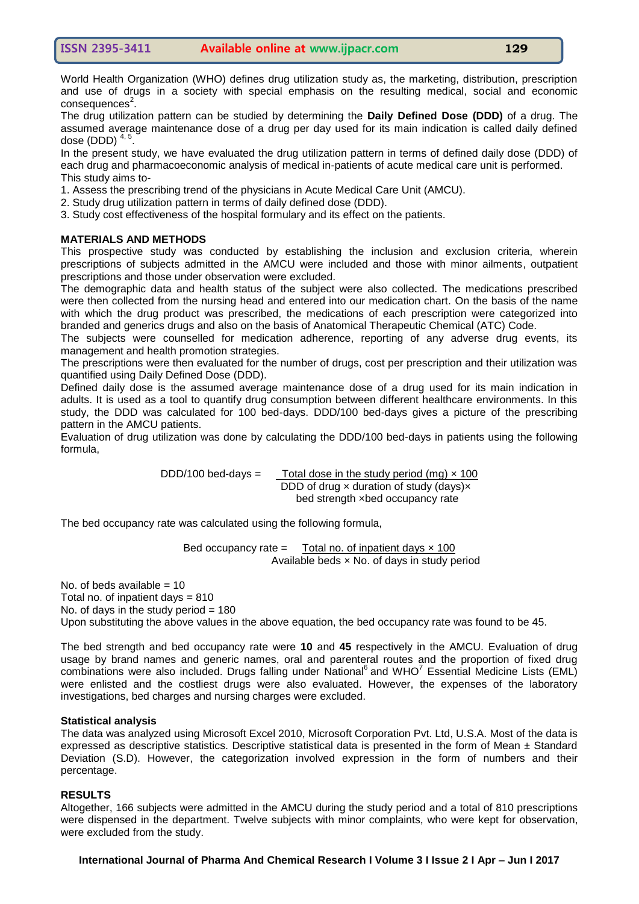World Health Organization (WHO) defines drug utilization study as, the marketing, distribution, prescription and use of drugs in a society with special emphasis on the resulting medical, social and economic consequences<sup>2</sup>.

The drug utilization pattern can be studied by determining the **Daily Defined Dose (DDD)** of a drug. The assumed average maintenance dose of a drug per day used for its main indication is called daily defined dose (DDD)  $4, 5$ .

In the present study, we have evaluated the drug utilization pattern in terms of defined daily dose (DDD) of each drug and pharmacoeconomic analysis of medical in-patients of acute medical care unit is performed. This study aims to-

- 1. Assess the prescribing trend of the physicians in Acute Medical Care Unit (AMCU).
- 2. Study drug utilization pattern in terms of daily defined dose (DDD).
- 3. Study cost effectiveness of the hospital formulary and its effect on the patients.

#### **MATERIALS AND METHODS**

This prospective study was conducted by establishing the inclusion and exclusion criteria, wherein prescriptions of subjects admitted in the AMCU were included and those with minor ailments, outpatient prescriptions and those under observation were excluded.

The demographic data and health status of the subject were also collected. The medications prescribed were then collected from the nursing head and entered into our medication chart. On the basis of the name with which the drug product was prescribed, the medications of each prescription were categorized into branded and generics drugs and also on the basis of Anatomical Therapeutic Chemical (ATC) Code.

The subjects were counselled for medication adherence, reporting of any adverse drug events, its management and health promotion strategies.

The prescriptions were then evaluated for the number of drugs, cost per prescription and their utilization was quantified using Daily Defined Dose (DDD).

Defined daily dose is the assumed average maintenance dose of a drug used for its main indication in adults. It is used as a tool to quantify drug consumption between different healthcare environments. In this study, the DDD was calculated for 100 bed-days. DDD/100 bed-days gives a picture of the prescribing pattern in the AMCU patients.

Evaluation of drug utilization was done by calculating the DDD/100 bed-days in patients using the following formula,

> DDD/100 bed-days =  $\sqrt{\frac{3}{2}}$  Total dose in the study period (mg)  $\times$  100 DDD of drug  $\times$  duration of study (days) $\times$ bed strength ×bed occupancy rate

The bed occupancy rate was calculated using the following formula,

Bed occupancy rate  $=$  Total no. of inpatient days  $\times$  100 Available beds × No. of days in study period

No. of beds available  $= 10$ Total no. of inpatient days  $= 810$ No. of days in the study period  $= 180$ Upon substituting the above values in the above equation, the bed occupancy rate was found to be 45.

The bed strength and bed occupancy rate were **10** and **45** respectively in the AMCU. Evaluation of drug usage by brand names and generic names, oral and parenteral routes and the proportion of fixed drug  $combinations$  were also included. Drugs falling under National<sup>6</sup> and WHO<sup>7</sup> Essential Medicine Lists (EML) were enlisted and the costliest drugs were also evaluated. However, the expenses of the laboratory investigations, bed charges and nursing charges were excluded.

#### **Statistical analysis**

The data was analyzed using Microsoft Excel 2010, Microsoft Corporation Pvt. Ltd, U.S.A. Most of the data is expressed as descriptive statistics. Descriptive statistical data is presented in the form of Mean  $\pm$  Standard Deviation (S.D). However, the categorization involved expression in the form of numbers and their percentage.

#### **RESULTS**

Altogether, 166 subjects were admitted in the AMCU during the study period and a total of 810 prescriptions were dispensed in the department. Twelve subjects with minor complaints, who were kept for observation, were excluded from the study.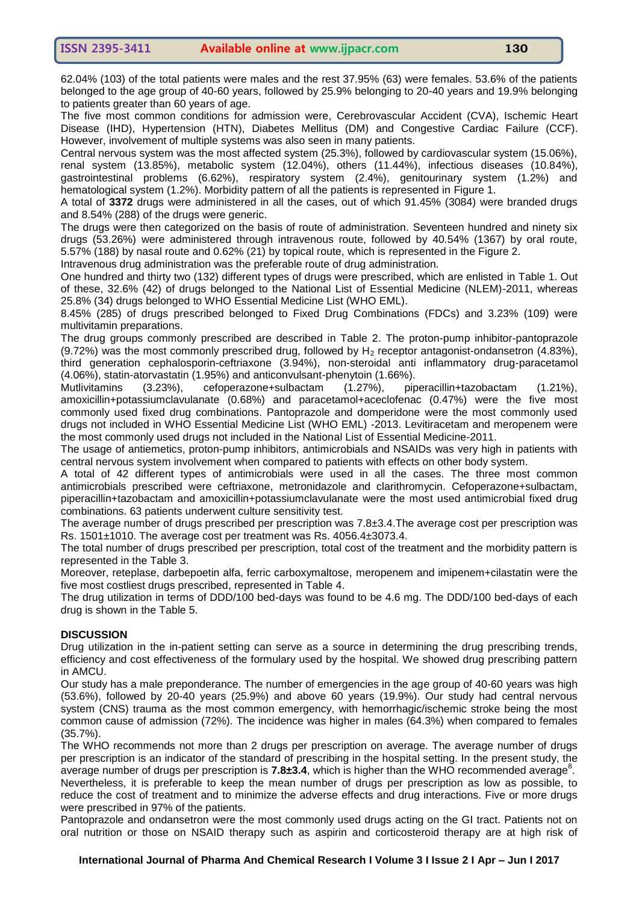62.04% (103) of the total patients were males and the rest 37.95% (63) were females. 53.6% of the patients belonged to the age group of 40-60 years, followed by 25.9% belonging to 20-40 years and 19.9% belonging to patients greater than 60 years of age.

The five most common conditions for admission were, Cerebrovascular Accident (CVA), Ischemic Heart Disease (IHD), Hypertension (HTN), Diabetes Mellitus (DM) and Congestive Cardiac Failure (CCF). However, involvement of multiple systems was also seen in many patients.

Central nervous system was the most affected system (25.3%), followed by cardiovascular system (15.06%), renal system (13.85%), metabolic system (12.04%), others (11.44%), infectious diseases (10.84%), gastrointestinal problems (6.62%), respiratory system (2.4%), genitourinary system (1.2%) and hematological system (1.2%). Morbidity pattern of all the patients is represented in Figure 1.

A total of **3372** drugs were administered in all the cases, out of which 91.45% (3084) were branded drugs and 8.54% (288) of the drugs were generic.

The drugs were then categorized on the basis of route of administration. Seventeen hundred and ninety six drugs (53.26%) were administered through intravenous route, followed by 40.54% (1367) by oral route, 5.57% (188) by nasal route and 0.62% (21) by topical route, which is represented in the Figure 2.

Intravenous drug administration was the preferable route of drug administration.

One hundred and thirty two (132) different types of drugs were prescribed, which are enlisted in Table 1. Out of these, 32.6% (42) of drugs belonged to the National List of Essential Medicine (NLEM)-2011, whereas 25.8% (34) drugs belonged to WHO Essential Medicine List (WHO EML).

8.45% (285) of drugs prescribed belonged to Fixed Drug Combinations (FDCs) and 3.23% (109) were multivitamin preparations.

The drug groups commonly prescribed are described in Table 2. The proton-pump inhibitor-pantoprazole (9.72%) was the most commonly prescribed drug, followed by  $H_2$  receptor antagonist-ondansetron (4.83%), third generation cephalosporin-ceftriaxone (3.94%), non-steroidal anti inflammatory drug-paracetamol (4.06%), statin-atorvastatin (1.95%) and anticonvulsant-phenytoin (1.66%).

Mutlivitamins (3.23%), cefoperazone+sulbactam (1.27%), piperacillin+tazobactam (1.21%), amoxicillin+potassiumclavulanate (0.68%) and paracetamol+aceclofenac (0.47%) were the five most commonly used fixed drug combinations. Pantoprazole and domperidone were the most commonly used drugs not included in WHO Essential Medicine List (WHO EML) -2013. Levitiracetam and meropenem were the most commonly used drugs not included in the National List of Essential Medicine-2011.

The usage of antiemetics, proton-pump inhibitors, antimicrobials and NSAIDs was very high in patients with central nervous system involvement when compared to patients with effects on other body system.

A total of 42 different types of antimicrobials were used in all the cases. The three most common antimicrobials prescribed were ceftriaxone, metronidazole and clarithromycin. Cefoperazone+sulbactam, piperacillin+tazobactam and amoxicillin+potassiumclavulanate were the most used antimicrobial fixed drug combinations. 63 patients underwent culture sensitivity test.

The average number of drugs prescribed per prescription was 7.8±3.4.The average cost per prescription was Rs. 1501±1010. The average cost per treatment was Rs. 4056.4±3073.4.

The total number of drugs prescribed per prescription, total cost of the treatment and the morbidity pattern is represented in the Table 3.

Moreover, reteplase, darbepoetin alfa, ferric carboxymaltose, meropenem and imipenem+cilastatin were the five most costliest drugs prescribed, represented in Table 4.

The drug utilization in terms of DDD/100 bed-days was found to be 4.6 mg. The DDD/100 bed-days of each drug is shown in the Table 5.

#### **DISCUSSION**

Drug utilization in the in-patient setting can serve as a source in determining the drug prescribing trends, efficiency and cost effectiveness of the formulary used by the hospital. We showed drug prescribing pattern in AMCU.

Our study has a male preponderance. The number of emergencies in the age group of 40-60 years was high (53.6%), followed by 20-40 years (25.9%) and above 60 years (19.9%). Our study had central nervous system (CNS) trauma as the most common emergency, with hemorrhagic/ischemic stroke being the most common cause of admission (72%). The incidence was higher in males (64.3%) when compared to females (35.7%).

The WHO recommends not more than 2 drugs per prescription on average. The average number of drugs per prescription is an indicator of the standard of prescribing in the hospital setting. In the present study, the average number of drugs per prescription is 7.8±3.4, which is higher than the WHO recommended average<sup>8</sup>. Nevertheless, it is preferable to keep the mean number of drugs per prescription as low as possible, to

reduce the cost of treatment and to minimize the adverse effects and drug interactions. Five or more drugs were prescribed in 97% of the patients.

Pantoprazole and ondansetron were the most commonly used drugs acting on the GI tract. Patients not on oral nutrition or those on NSAID therapy such as aspirin and corticosteroid therapy are at high risk of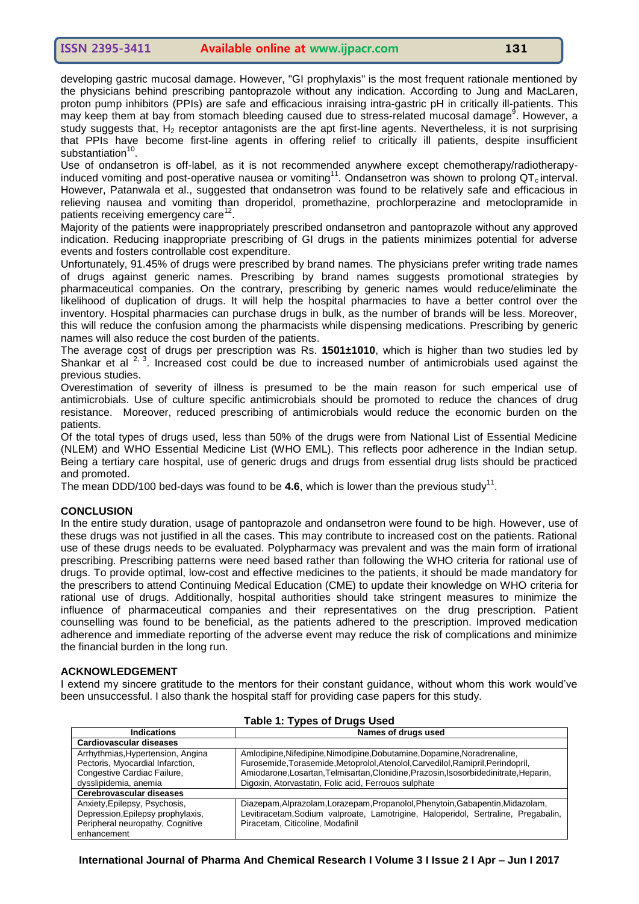developing gastric mucosal damage. However, "GI prophylaxis" is the most frequent rationale mentioned by the physicians behind prescribing pantoprazole without any indication. According to Jung and MacLaren, proton pump inhibitors (PPIs) are safe and efficacious inraising intra-gastric pH in critically ill-patients. This may keep them at bay from stomach bleeding caused due to stress-related mucosal damage<sup>9</sup>. However, a study suggests that, H<sub>2</sub> receptor antagonists are the apt first-line agents. Nevertheless, it is not surprising that PPIs have become first-line agents in offering relief to critically ill patients, despite insufficient substantiation<sup>10</sup>.

Use of ondansetron is off-label, as it is not recommended anywhere except chemotherapy/radiotherapyinduced vomiting and post-operative nausea or vomiting<sup>11</sup>. Ondansetron was shown to prolong  $QT<sub>c</sub>$  interval. However, Patanwala et al., suggested that ondansetron was found to be relatively safe and efficacious in relieving nausea and vomiting than droperidol, promethazine, prochlorperazine and metoclopramide in patients receiving emergency care<sup>12</sup>.

Majority of the patients were inappropriately prescribed ondansetron and pantoprazole without any approved indication. Reducing inappropriate prescribing of GI drugs in the patients minimizes potential for adverse events and fosters controllable cost expenditure.

Unfortunately, 91.45% of drugs were prescribed by brand names. The physicians prefer writing trade names of drugs against generic names. Prescribing by brand names suggests promotional strategies by pharmaceutical companies. On the contrary, prescribing by generic names would reduce/eliminate the likelihood of duplication of drugs. It will help the hospital pharmacies to have a better control over the inventory. Hospital pharmacies can purchase drugs in bulk, as the number of brands will be less. Moreover, this will reduce the confusion among the pharmacists while dispensing medications. Prescribing by generic names will also reduce the cost burden of the patients.

The average cost of drugs per prescription was Rs. **1501±1010**, which is higher than two studies led by Shankar et al  $2^{7}$ , Increased cost could be due to increased number of antimicrobials used against the previous studies.

Overestimation of severity of illness is presumed to be the main reason for such emperical use of antimicrobials. Use of culture specific antimicrobials should be promoted to reduce the chances of drug resistance. Moreover, reduced prescribing of antimicrobials would reduce the economic burden on the patients.

Of the total types of drugs used, less than 50% of the drugs were from National List of Essential Medicine (NLEM) and WHO Essential Medicine List (WHO EML). This reflects poor adherence in the Indian setup. Being a tertiary care hospital, use of generic drugs and drugs from essential drug lists should be practiced and promoted.

The mean DDD/100 bed-days was found to be  $4.6$ , which is lower than the previous study<sup>11</sup>.

#### **CONCLUSION**

In the entire study duration, usage of pantoprazole and ondansetron were found to be high. However, use of these drugs was not justified in all the cases. This may contribute to increased cost on the patients. Rational use of these drugs needs to be evaluated. Polypharmacy was prevalent and was the main form of irrational prescribing. Prescribing patterns were need based rather than following the WHO criteria for rational use of drugs. To provide optimal, low-cost and effective medicines to the patients, it should be made mandatory for the prescribers to attend Continuing Medical Education (CME) to update their knowledge on WHO criteria for rational use of drugs. Additionally, hospital authorities should take stringent measures to minimize the influence of pharmaceutical companies and their representatives on the drug prescription. Patient counselling was found to be beneficial, as the patients adhered to the prescription. Improved medication adherence and immediate reporting of the adverse event may reduce the risk of complications and minimize the financial burden in the long run.

#### **ACKNOWLEDGEMENT**

I extend my sincere gratitude to the mentors for their constant guidance, without whom this work would've been unsuccessful. I also thank the hospital staff for providing case papers for this study.

| $1.4010$ $1.1$ $7.000$ $0.1$ $0.490$ $0.000$ |                                                                                       |  |  |  |
|----------------------------------------------|---------------------------------------------------------------------------------------|--|--|--|
| <b>Indications</b>                           | Names of drugs used                                                                   |  |  |  |
| <b>Cardiovascular diseases</b>               |                                                                                       |  |  |  |
| Arrhythmias, Hypertension, Angina            | Amlodipine, Nifedipine, Nimodipine, Dobutamine, Dopamine, Noradrenaline,              |  |  |  |
| Pectoris, Myocardial Infarction,             | Furosemide, Torasemide, Metoprolol, Atenolol, Carvedilol, Ramipril, Perindopril,      |  |  |  |
| Congestive Cardiac Failure,                  | Amiodarone, Losartan, Telmisartan, Clonidine, Prazosin, Isosorbidedinitrate, Heparin, |  |  |  |
| dysslipidemia, anemia                        | Digoxin, Atorvastatin, Folic acid, Ferrouos sulphate                                  |  |  |  |
| Cerebrovascular diseases                     |                                                                                       |  |  |  |
| Anxiety, Epilepsy, Psychosis,                | Diazepam, Alprazolam, Lorazepam, Propanolol, Phenytoin, Gabapentin, Midazolam,        |  |  |  |
| Depression, Epilepsy prophylaxis,            | Levitiracetam, Sodium valproate, Lamotrigine, Haloperidol, Sertraline, Pregabalin,    |  |  |  |
| Peripheral neuropathy, Cognitive             | Piracetam, Citicoline, Modafinil                                                      |  |  |  |
| enhancement                                  |                                                                                       |  |  |  |

#### **Table 1: Types of Drugs Used**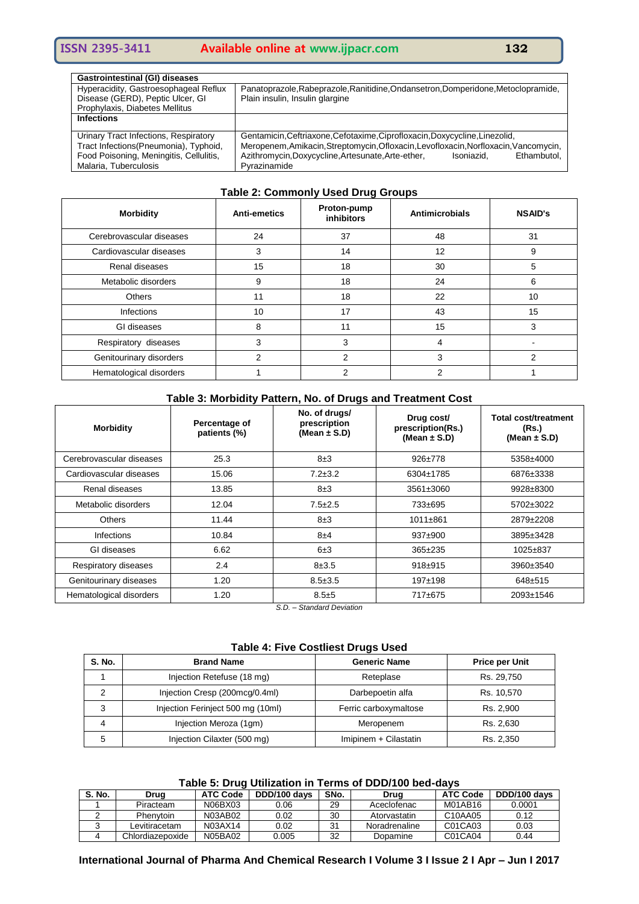| <b>Gastrointestinal (GI) diseases</b>   |                                                                                      |  |  |
|-----------------------------------------|--------------------------------------------------------------------------------------|--|--|
| Hyperacidity, Gastroesophageal Reflux   | Panatoprazole, Rabeprazole, Ranitidine, Ondansetron, Domperidone, Metoclopramide,    |  |  |
| Disease (GERD), Peptic Ulcer, GI        | Plain insulin, Insulin glargine                                                      |  |  |
| Prophylaxis, Diabetes Mellitus          |                                                                                      |  |  |
| <b>Infections</b>                       |                                                                                      |  |  |
|                                         |                                                                                      |  |  |
| Urinary Tract Infections, Respiratory   | Gentamicin, Ceftriaxone, Cefotaxime, Ciprofloxacin, Doxycycline, Linezolid,          |  |  |
| Tract Infections(Pneumonia), Typhoid,   | Meropenem, Amikacin, Streptomycin, Ofloxacin, Levofloxacin, Norfloxacin, Vancomycin, |  |  |
| Food Poisoning, Meningitis, Cellulitis, | Azithromycin, Doxycycline, Artesunate, Arte-ether,<br>Ethambutol.<br>Isoniazid.      |  |  |
| Malaria, Tuberculosis                   | Pyrazinamide                                                                         |  |  |

#### **Table 2: Commonly Used Drug Groups**

| <b>Morbidity</b>         | <b>Anti-emetics</b> | Proton-pump<br><b>inhibitors</b> | Antimicrobials | <b>NSAID's</b> |
|--------------------------|---------------------|----------------------------------|----------------|----------------|
| Cerebrovascular diseases | 24                  | 37                               | 48             | 31             |
| Cardiovascular diseases  | 3                   | 14                               | 12             | 9              |
| Renal diseases           | 15                  | 18                               | 30             | 5              |
| Metabolic disorders      | 9                   | 18                               | 24             | 6              |
| <b>Others</b>            | 11                  | 18                               | 22             | 10             |
| <b>Infections</b>        | 10                  | 17                               | 43             | 15             |
| GI diseases              | 8                   | 11                               | 15             | 3              |
| Respiratory diseases     | 3                   | 3                                | 4              |                |
| Genitourinary disorders  | 2                   | 2                                | 3              | 2              |
| Hematological disorders  |                     | っ                                |                |                |

#### **Table 3: Morbidity Pattern, No. of Drugs and Treatment Cost**

| <b>Morbidity</b>         | Percentage of<br>patients (%) | No. of drugs/<br>prescription<br>(Mean $\pm$ S.D) | Drug cost/<br>prescription(Rs.)<br>(Mean $\pm$ S.D) | <b>Total cost/treatment</b><br>(Rs.)<br>(Mean $\pm$ S.D) |
|--------------------------|-------------------------------|---------------------------------------------------|-----------------------------------------------------|----------------------------------------------------------|
| Cerebrovascular diseases | 25.3                          | $8\pm3$                                           | $926 \pm 778$                                       | 5358±4000                                                |
| Cardiovascular diseases  | 15.06                         | $7.2 + 3.2$                                       | 6304±1785                                           | 6876±3338                                                |
| Renal diseases           | 13.85                         | 8±3                                               | $3561 \pm 3060$                                     | 9928±8300                                                |
| Metabolic disorders      | 12.04                         | $7.5 \pm 2.5$                                     | 733±695                                             | 5702±3022                                                |
| <b>Others</b>            | 11.44                         | $8\pm3$                                           | $1011 + 861$                                        | 2879±2208                                                |
| <b>Infections</b>        | 10.84                         | 8±4                                               | $937+900$                                           | 3895±3428                                                |
| GI diseases              | 6.62                          | 6±3                                               | $365 \pm 235$                                       | $1025 \pm 837$                                           |
| Respiratory diseases     | 2.4                           | $8 + 3.5$                                         | $918 + 915$                                         | 3960±3540                                                |
| Genitourinary diseases   | 1.20                          | $8.5 \pm 3.5$                                     | $197+198$                                           | $648 + 515$                                              |
| Hematological disorders  | 1.20                          | $8.5 + 5$                                         | 717±675                                             | 2093±1546                                                |

*S.D. – Standard Deviation*

#### **Table 4: Five Costliest Drugs Used**

| <b>S. No.</b> | <b>Brand Name</b>                 | <b>Generic Name</b>   | <b>Price per Unit</b> |
|---------------|-----------------------------------|-----------------------|-----------------------|
|               | Injection Retefuse (18 mg)        | Reteplase             | Rs. 29,750            |
|               | Injection Cresp (200mcg/0.4ml)    | Darbepoetin alfa      | Rs. 10,570            |
| 3             | Injection Ferinject 500 mg (10ml) | Ferric carboxymaltose | Rs. 2,900             |
| 4             | Injection Meroza (1gm)            | Meropenem             | Rs. 2,630             |
| 5             | Injection Cilaxter (500 mg)       | Imipinem + Cilastatin | Rs. 2,350             |

#### **Table 5: Drug Utilization in Terms of DDD/100 bed-days**

| <b>S. No.</b> | Drua             | <b>ATC Code</b> | DDD/100 days | SNo. | Drua          | <b>ATC Code</b> | DDD/100 days |
|---------------|------------------|-----------------|--------------|------|---------------|-----------------|--------------|
|               | Piracteam        | N06BX03         | 0.06         | 29   | Aceclofenac   | M01AB16         | 0.0001       |
|               | Phenytoin        | N03AB02         | 0.02         | 30   | Atorvastatin  | C10AA05         | 0.12         |
|               | _evitiracetam    | N03AX14         | 0.02         | 31   | Noradrenaline | C01CA03         | 0.03         |
|               | Chlordiazepoxide | N05BA02         | 0.005        | 32   | Dopamine      | C01CA04         | 0.44         |

**International Journal of Pharma And Chemical Research I Volume 3 I Issue 2 I Apr – Jun I 2017**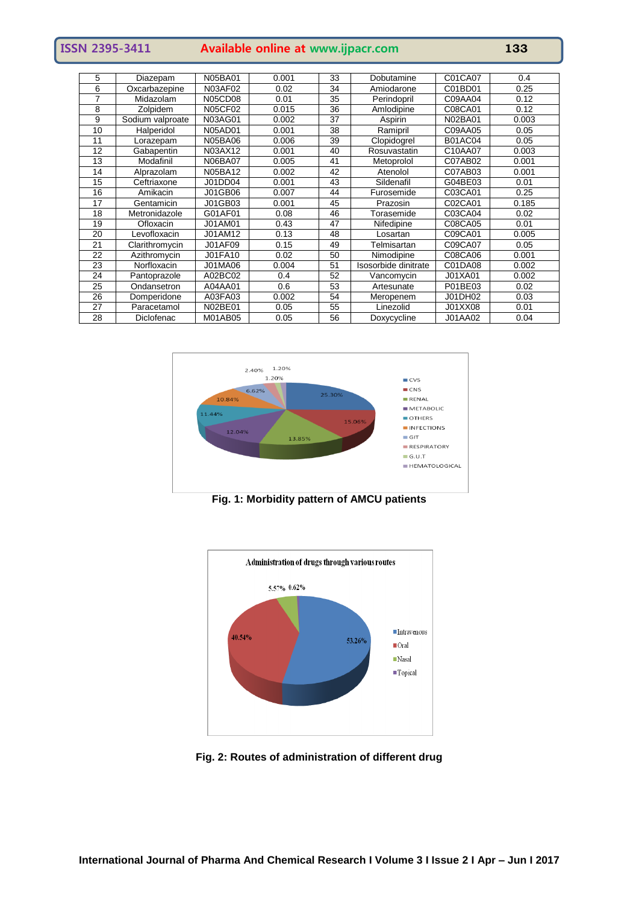| <b>ISSN 2395-3411</b> | Available online at www.ijpacr.com | 133 |
|-----------------------|------------------------------------|-----|
|                       |                                    |     |

| 5  | Diazepam          | <b>N05BA01</b> | 0.001 | 33 | Dobutamine           | C01CA07        | 0.4   |
|----|-------------------|----------------|-------|----|----------------------|----------------|-------|
| 6  | Oxcarbazepine     | N03AF02        | 0.02  | 34 | Amiodarone           | C01BD01        | 0.25  |
| 7  | Midazolam         | N05CD08        | 0.01  | 35 | Perindopril          | C09AA04        | 0.12  |
| 8  | Zolpidem          | N05CF02        | 0.015 | 36 | Amlodipine           | C08CA01        | 0.12  |
| 9  | Sodium valproate  | N03AG01        | 0.002 | 37 | Aspirin              | N02BA01        | 0.003 |
| 10 | Halperidol        | <b>N05AD01</b> | 0.001 | 38 | Ramipril             | C09AA05        | 0.05  |
| 11 | _orazepam         | <b>N05BA06</b> | 0.006 | 39 | Clopidogrel          | <b>B01AC04</b> | 0.05  |
| 12 | Gabapentin        | N03AX12        | 0.001 | 40 | Rosuvastatin         | C10AA07        | 0.003 |
| 13 | Modafinil         | <b>N06BA07</b> | 0.005 | 41 | Metoprolol           | C07AB02        | 0.001 |
| 14 | Alprazolam        | N05BA12        | 0.002 | 42 | Atenolol             | C07AB03        | 0.001 |
| 15 | Ceftriaxone       | J01DD04        | 0.001 | 43 | Sildenafil           | G04BE03        | 0.01  |
| 16 | Amikacin          | J01GB06        | 0.007 | 44 | Furosemide           | C03CA01        | 0.25  |
| 17 | Gentamicin        | J01GB03        | 0.001 | 45 | Prazosin             | C02CA01        | 0.185 |
| 18 | Metronidazole     | G01AF01        | 0.08  | 46 | Torasemide           | C03CA04        | 0.02  |
| 19 | Ofloxacin         | J01AM01        | 0.43  | 47 | Nifedipine           | C08CA05        | 0.01  |
| 20 | -evofloxacin      | J01AM12        | 0.13  | 48 | Losartan             | C09CA01        | 0.005 |
| 21 | Clarithromycin    | <b>J01AF09</b> | 0.15  | 49 | Telmisartan          | C09CA07        | 0.05  |
| 22 | Azithromycin      | J01FA10        | 0.02  | 50 | Nimodipine           | C08CA06        | 0.001 |
| 23 | Norfloxacin       | J01MA06        | 0.004 | 51 | Isosorbide dinitrate | C01DA08        | 0.002 |
| 24 | Pantoprazole      | A02BC02        | 0.4   | 52 | Vancomycin           | J01XA01        | 0.002 |
| 25 | Ondansetron       | A04AA01        | 0.6   | 53 | Artesunate           | P01BE03        | 0.02  |
| 26 | Domperidone       | A03FA03        | 0.002 | 54 | Meropenem            | J01DH02        | 0.03  |
| 27 | Paracetamol       | N02BE01        | 0.05  | 55 | Linezolid            | J01XX08        | 0.01  |
| 28 | <b>Diclofenac</b> | M01AB05        | 0.05  | 56 | Doxycycline          | J01AA02        | 0.04  |



**Fig. 1: Morbidity pattern of AMCU patients**



**Fig. 2: Routes of administration of different drug**